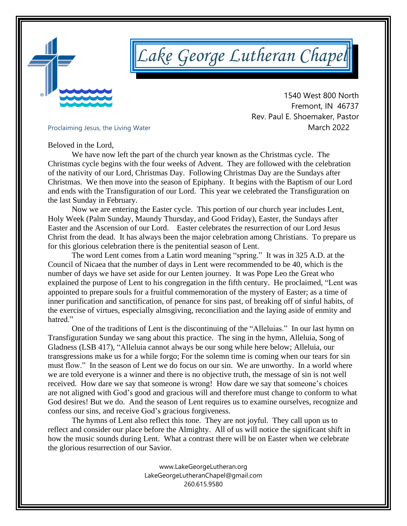

# *Lake George Lutheran Chapel*

 1540 West 800 North Fremont, IN 46737 Rev. Paul E. Shoemaker, Pastor Proclaiming Jesus, the Living Water<br>
March 2022

Beloved in the Lord,

We have now left the part of the church year known as the Christmas cycle. The Christmas cycle begins with the four weeks of Advent. They are followed with the celebration of the nativity of our Lord, Christmas Day. Following Christmas Day are the Sundays after Christmas. We then move into the season of Epiphany. It begins with the Baptism of our Lord and ends with the Transfiguration of our Lord. This year we celebrated the Transfiguration on the last Sunday in February.

Now we are entering the Easter cycle. This portion of our church year includes Lent, Holy Week (Palm Sunday, Maundy Thursday, and Good Friday), Easter, the Sundays after Easter and the Ascension of our Lord. Easter celebrates the resurrection of our Lord Jesus Christ from the dead. It has always been the major celebration among Christians. To prepare us for this glorious celebration there is the penitential season of Lent.

The word Lent comes from a Latin word meaning "spring." It was in 325 A.D. at the Council of Nicaea that the number of days in Lent were recommended to be 40, which is the number of days we have set aside for our Lenten journey. It was Pope Leo the Great who explained the purpose of Lent to his congregation in the fifth century. He proclaimed, "Lent was appointed to prepare souls for a fruitful commemoration of the mystery of Easter; as a time of inner purification and sanctification, of penance for sins past, of breaking off of sinful habits, of the exercise of virtues, especially almsgiving, reconciliation and the laying aside of enmity and hatred."

One of the traditions of Lent is the discontinuing of the "Alleluias." In our last hymn on Transfiguration Sunday we sang about this practice. The sing in the hymn, Alleluia, Song of Gladness (LSB 417), "Alleluia cannot always be our song while here below; Alleluia, our transgressions make us for a while forgo; For the solemn time is coming when our tears for sin must flow." In the season of Lent we do focus on our sin. We are unworthy. In a world where we are told everyone is a winner and there is no objective truth, the message of sin is not well received. How dare we say that someone is wrong! How dare we say that someone's choices are not aligned with God's good and gracious will and therefore must change to conform to what God desires! But we do. And the season of Lent requires us to examine ourselves, recognize and confess our sins, and receive God's gracious forgiveness.

The hymns of Lent also reflect this tone. They are not joyful. They call upon us to reflect and consider our place before the Almighty. All of us will notice the significant shift in how the music sounds during Lent. What a contrast there will be on Easter when we celebrate the glorious resurrection of our Savior.

> [www.LakeGeorgeLutheran.org](http://www.lakegeorgelutheran.org/) [LakeGeorgeLutheranC](mailto:LakeGeorgeLCMS@Frontier.com)hapel@gmail.com 260.615.9580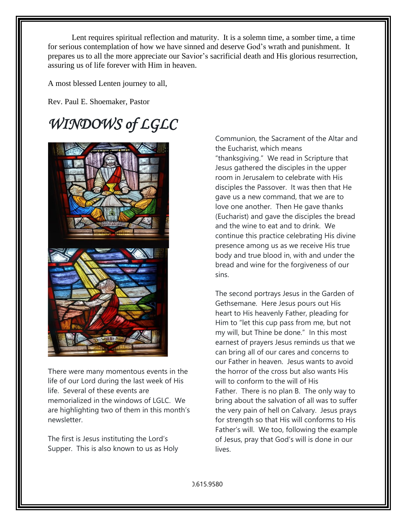Lent requires spiritual reflection and maturity. It is a solemn time, a somber time, a time for serious contemplation of how we have sinned and deserve God's wrath and punishment. It prepares us to all the more appreciate our Savior's sacrificial death and His glorious resurrection, assuring us of life forever with Him in heaven.

A most blessed Lenten journey to all,

Rev. Paul E. Shoemaker, Pastor

## *WINDOWS of LGLC*



There were many momentous events in the life of our Lord during the last week of His life. Several of these events are memorialized in the windows of LGLC. We are highlighting two of them in this month's newsletter.

The first is Jesus instituting the Lord's Supper. This is also known to us as Holy Communion, the Sacrament of the Altar and the Eucharist, which means "thanksgiving." We read in Scripture that Jesus gathered the disciples in the upper room in Jerusalem to celebrate with His disciples the Passover. It was then that He gave us a new command, that we are to love one another. Then He gave thanks (Eucharist) and gave the disciples the bread and the wine to eat and to drink. We continue this practice celebrating His divine presence among us as we receive His true body and true blood in, with and under the bread and wine for the forgiveness of our sins.

The second portrays Jesus in the Garden of Gethsemane. Here Jesus pours out His heart to His heavenly Father, pleading for Him to "let this cup pass from me, but not my will, but Thine be done." In this most earnest of prayers Jesus reminds us that we can bring all of our cares and concerns to our Father in heaven. Jesus wants to avoid the horror of the cross but also wants His will to conform to the will of His Father. There is no plan B. The only way to bring about the salvation of all was to suffer the very pain of hell on Calvary. Jesus prays for strength so that His will conforms to His Father's will. We too, following the example of Jesus, pray that God's will is done in our lives.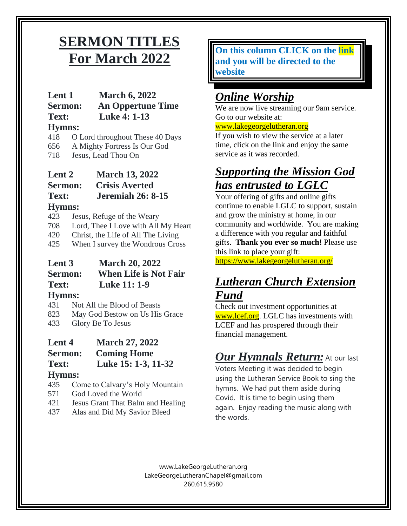### **SERMON TITLES For March 2022**

### **Lent 1 March 6, 2022**

**Sermon: An Oppertune Time Text: Luke 4: 1-13**

### **Hymns:**

418 O Lord throughout These 40 Days

- 656 A Mighty Fortress Is Our God
- 718 Jesus, Lead Thou On

**Lent 2 March 13, 2022 Sermon: Crisis Averted Text: Jeremiah 26: 8-15 Hymns:**

- 423 Jesus, Refuge of the Weary
- 708 Lord, Thee I Love with All My Heart
- 420 Christ, the Life of All The Living
- 425 When I survey the Wondrous Cross

#### **Lent 3 March 20, 2022 Sermon: When Life is Not Fair Text: Luke 11: 1-9 Hymns:**

431 Not All the Blood of Beasts

- 823 May God Bestow on Us His Grace
- 433 Glory Be To Jesus

### **Lent 4 March 27, 2022**

**Sermon: Coming Home**

**Text: Luke 15: 1-3, 11-32**

### **Hymns:**

- 435 Come to Calvary's Holy Mountain
- 571 God Loved the World
- 421 Jesus Grant That Balm and Healing
- 437 Alas and Did My Savior Bleed

**On this column CLICK on the link and you will be directed to the website**

### *Online Worship*

We are now live streaming our 9am service. Go to our website at:

#### [www.lakegeorgelutheran.org](http://www.lakegeorgelutheran.org/)

If you wish to view the service at a later time, click on the link and enjoy the same service as it was recorded.

### *Supporting the Mission God has entrusted to LGLC*

Your offering of gifts and online gifts continue to enable LGLC to support, sustain and grow the ministry at home, in our community and worldwide. You are making a difference with you regular and faithful gifts. **Thank you ever so much!** Please use this link to place your gift:

<https://www.lakegeorgelutheran.org/>

### *Lutheran Church Extension Fund*

Check out investment opportunities at [www.lcef.org.](http://www.lcef.org/) LGLC has investments with LCEF and has prospered through their financial management.

### *Our Hymnals Return:* At our last

Voters Meeting it was decided to begin using the Lutheran Service Book to sing the hymns. We had put them aside during Covid. It is time to begin using them again. Enjoy reading the music along with the words.

[www.LakeGeorgeLutheran.org](http://www.lakegeorgelutheran.org/) [LakeGeorgeLutheranC](mailto:LakeGeorgeLCMS@Frontier.com)hapel@gmail.com 260.615.9580